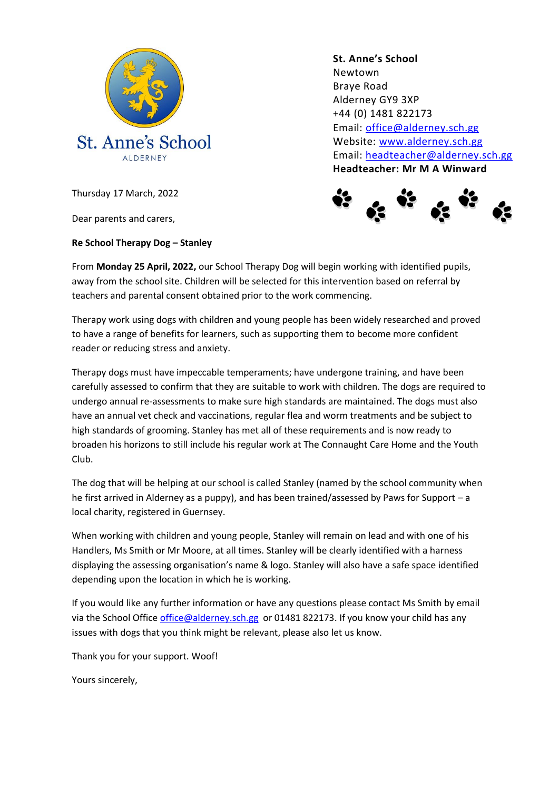

**St. Anne's School**  Newtown Braye Road Alderney GY9 3XP +44 (0) 1481 822173 Email: [office@alderney.sch.gg](mailto:office@alderney.sch.gg) Website: [www.alderney.sch.gg](http://www.alderney.sch.gg/) Email: [headteacher@alderney.sch.gg](mailto:headteacher@alderney.sch.gg) **Headteacher: Mr M A Winward**



Thursday 17 March, 2022

Dear parents and carers,

**Re School Therapy Dog – Stanley**

From **Monday 25 April, 2022,** our School Therapy Dog will begin working with identified pupils, away from the school site. Children will be selected for this intervention based on referral by teachers and parental consent obtained prior to the work commencing.

Therapy work using dogs with children and young people has been widely researched and proved to have a range of benefits for learners, such as supporting them to become more confident reader or reducing stress and anxiety.

Therapy dogs must have impeccable temperaments; have undergone training, and have been carefully assessed to confirm that they are suitable to work with children. The dogs are required to undergo annual re-assessments to make sure high standards are maintained. The dogs must also have an annual vet check and vaccinations, regular flea and worm treatments and be subject to high standards of grooming. Stanley has met all of these requirements and is now ready to broaden his horizons to still include his regular work at The Connaught Care Home and the Youth Club.

The dog that will be helping at our school is called Stanley (named by the school community when he first arrived in Alderney as a puppy), and has been trained/assessed by Paws for Support – a local charity, registered in Guernsey.

When working with children and young people, Stanley will remain on lead and with one of his Handlers, Ms Smith or Mr Moore, at all times. Stanley will be clearly identified with a harness displaying the assessing organisation's name & logo. Stanley will also have a safe space identified depending upon the location in which he is working.

If you would like any further information or have any questions please contact Ms Smith by email via the School Offic[e office@alderney.sch.gg](mailto:office@alderney.sch.gg) or 01481 822173. If you know your child has any issues with dogs that you think might be relevant, please also let us know.

Thank you for your support. Woof!

Yours sincerely,